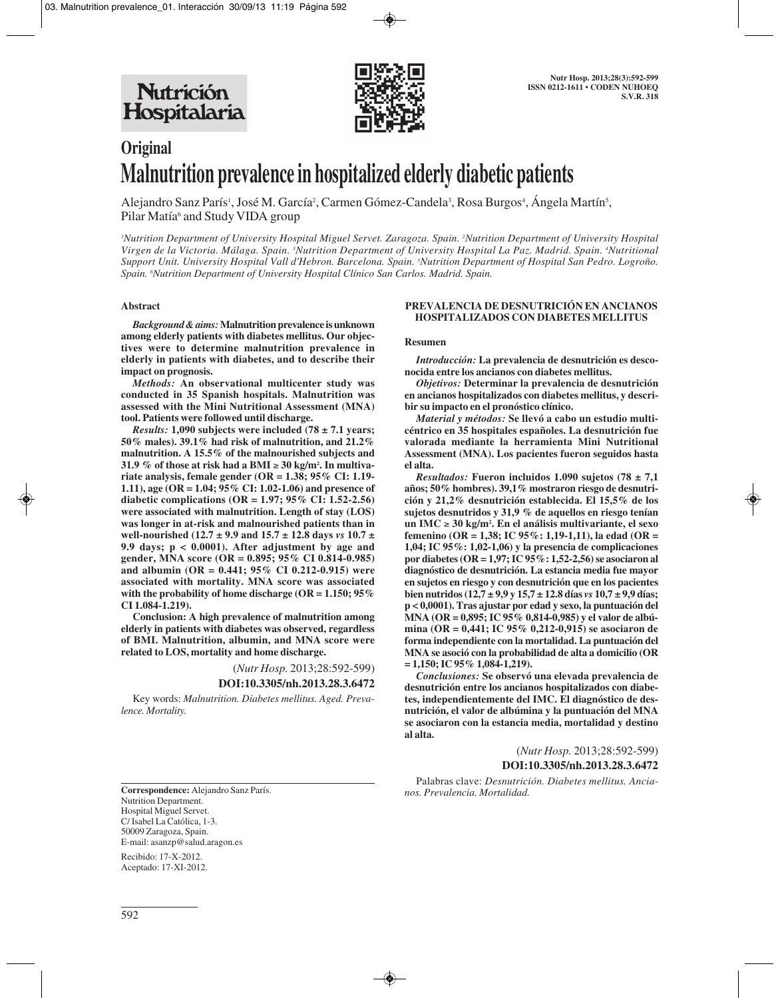

# **Original Malnutrition prevalence in hospitalized elderly diabetic patients**

Alejandro Sanz París<sup>1</sup>, José M. García<sup>2</sup>, Carmen Gómez-Candela<sup>3</sup>, Rosa Burgos<sup>4</sup>, Ángela Martín<sup>5</sup>, Pilar Matía<sup>6</sup> and Study VIDA group

*1 Nutrition Department of University Hospital Miguel Servet. Zaragoza. Spain. 2 Nutrition Department of University Hospital Virgen de la Victoria. Málaga. Spain. 3 Nutrition Department of University Hospital La Paz. Madrid. Spain. 4 Nutritional Support Unit. University Hospital Vall d'Hebron. Barcelona. Spain. 5 Nutrition Department of Hospital San Pedro. Logroño. Spain. 6 Nutrition Department of University Hospital Clínico San Carlos. Madrid. Spain.*

#### **Abstract**

*Background & aims:***Malnutrition prevalence is unknown among elderly patients with diabetes mellitus. Our objectives were to determine malnutrition prevalence in elderly in patients with diabetes, and to describe their impact on prognosis.** 

*Methods:* **An observational multicenter study was conducted in 35 Spanish hospitals. Malnutrition was assessed with the Mini Nutritional Assessment (MNA) tool. Patients were followed until discharge.** 

*Results:* **1,090 subjects were included (78 ± 7.1 years; 50% males). 39.1% had risk of malnutrition, and 21.2% malnutrition. A 15.5% of the malnourished subjects and 31.9 % of those at risk had a BMI** ≥ **30 kg/m2 . In multivariate analysis, female gender (OR = 1.38; 95% CI: 1.19- 1.11), age (OR = 1.04; 95% CI: 1.02-1.06) and presence of diabetic complications (OR = 1.97; 95% CI: 1.52-2.56) were associated with malnutrition. Length of stay (LOS) was longer in at-risk and malnourished patients than in well-nourished (12.7 ± 9.9 and 15.7 ± 12.8 days** *vs* **10.7 ± 9.9 days; p < 0.0001). After adjustment by age and gender, MNA score (OR = 0.895; 95% CI 0.814-0.985) and albumin (OR = 0.441; 95% CI 0.212-0.915) were associated with mortality. MNA score was associated with the probability of home discharge (OR = 1.150; 95% CI 1.084-1.219).** 

**Conclusion: A high prevalence of malnutrition among elderly in patients with diabetes was observed, regardless of BMI. Malnutrition, albumin, and MNA score were related to LOS, mortality and home discharge.**

> (*Nutr Hosp.* 2013;28:592-599) **DOI:10.3305/nh.2013.28.3.6472**

Key words: *Malnutrition. Diabetes mellitus. Aged. Prevalence. Mortality.*

**Correspondence:** Alejandro Sanz París. Nutrition Department. Hospital Miguel Servet. C/ Isabel La Católica, 1-3. 50009 Zaragoza, Spain. E-mail: asanzp@salud.aragon.es

Recibido: 17-X-2012. Aceptado: 17-XI-2012.

#### **PREVALENCIA DE DESNUTRICIÓN EN ANCIANOS HOSPITALIZADOS CON DIABETES MELLITUS**

#### **Resumen**

*Introducción:* **La prevalencia de desnutrición es desconocida entre los ancianos con diabetes mellitus.** 

*Objetivos:* **Determinar la prevalencia de desnutrición en ancianos hospitalizados con diabetes mellitus, y describir su impacto en el pronóstico clínico.** 

*Material y métodos:* **Se llevó a cabo un estudio multicéntrico en 35 hospitales españoles. La desnutrición fue valorada mediante la herramienta Mini Nutritional Assessment (MNA). Los pacientes fueron seguidos hasta el alta.** 

*Resultados:* Fueron incluidos 1.090 sujetos (78  $\pm$  7,1 **años; 50% hombres). 39,1% mostraron riesgo de desnutrición y 21,2% desnutrición establecida. El 15,5% de los sujetos desnutridos y 31,9 % de aquellos en riesgo tenían un IMC** ≥ **30 kg/m2 . En el análisis multivariante, el sexo femenino (OR = 1,38; IC 95%: 1,19-1,11), la edad (OR = 1,04; IC 95%: 1,02-1,06) y la presencia de complicaciones por diabetes (OR = 1,97; IC 95%: 1,52-2,56) se asociaron al diagnóstico de desnutrición. La estancia media fue mayor en sujetos en riesgo y con desnutrición que en los pacientes bien nutridos (12,7 ± 9,9 y 15,7 ± 12.8 días** *vs* **10,7 ± 9,9 días; p < 0,0001). Tras ajustar por edad y sexo, la puntuación del MNA (OR = 0,895; IC 95% 0,814-0,985) y el valor de albúmina (OR = 0,441; IC 95% 0,212-0,915) se asociaron de forma independiente con la mortalidad. La puntuación del MNA se asoció con la probabilidad de alta a domicilio (OR = 1,150; IC 95% 1,084-1,219).** 

*Conclusiones:* **Se observó una elevada prevalencia de desnutrición entre los ancianos hospitalizados con diabetes, independientemente del IMC. El diagnóstico de desnutrición, el valor de albúmina y la puntuación del MNA se asociaron con la estancia media, mortalidad y destino al alta.**

> (*Nutr Hosp.* 2013;28:592-599) **DOI:10.3305/nh.2013.28.3.6472**

Palabras clave: *Desnutrición. Diabetes mellitus. Ancianos. Prevalencia. Mortalidad.*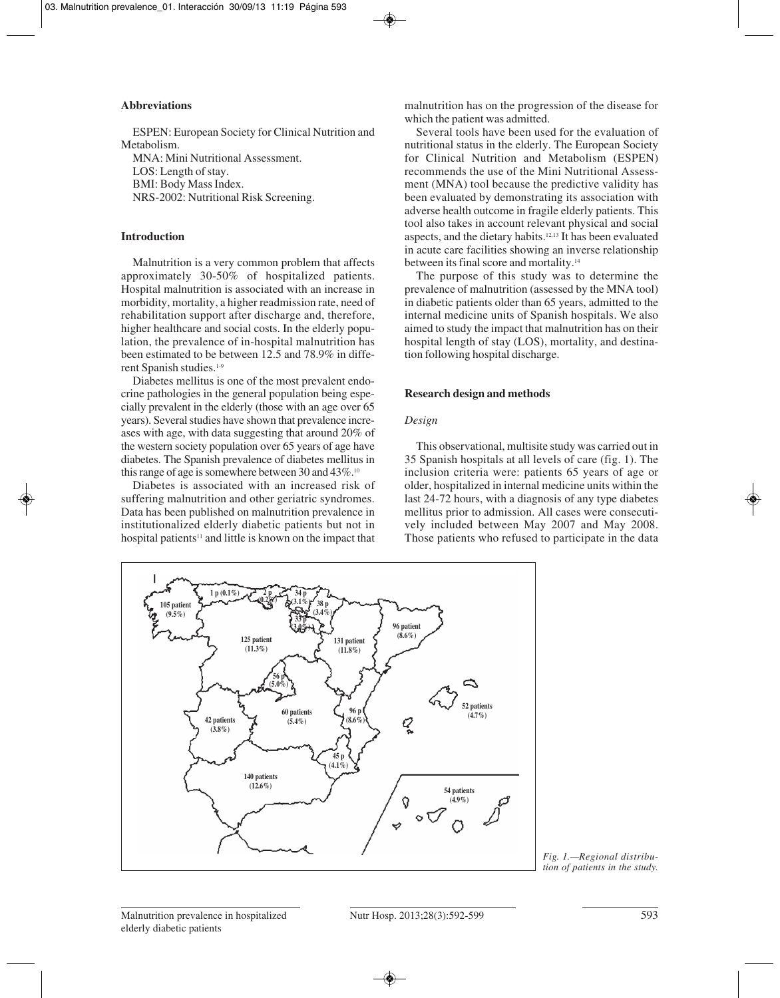# **Abbreviations**

ESPEN: European Society for Clinical Nutrition and Metabolism. MNA: Mini Nutritional Assessment. LOS: Length of stay. BMI: Body Mass Index. NRS-2002: Nutritional Risk Screening.

## **Introduction**

Malnutrition is a very common problem that affects approximately 30-50% of hospitalized patients. Hospital malnutrition is associated with an increase in morbidity, mortality, a higher readmission rate, need of rehabilitation support after discharge and, therefore, higher healthcare and social costs. In the elderly population, the prevalence of in-hospital malnutrition has been estimated to be between 12.5 and 78.9% in different Spanish studies.<sup>1-9</sup>

Diabetes mellitus is one of the most prevalent endocrine pathologies in the general population being especially prevalent in the elderly (those with an age over 65 years). Several studies have shown that prevalence increases with age, with data suggesting that around 20% of the western society population over 65 years of age have diabetes. The Spanish prevalence of diabetes mellitus in this range of age is somewhere between 30 and 43%.<sup>10</sup>

Diabetes is associated with an increased risk of suffering malnutrition and other geriatric syndromes. Data has been published on malnutrition prevalence in institutionalized elderly diabetic patients but not in hospital patients<sup>11</sup> and little is known on the impact that

malnutrition has on the progression of the disease for which the patient was admitted.

Several tools have been used for the evaluation of nutritional status in the elderly. The European Society for Clinical Nutrition and Metabolism (ESPEN) recommends the use of the Mini Nutritional Assessment (MNA) tool because the predictive validity has been evaluated by demonstrating its association with adverse health outcome in fragile elderly patients. This tool also takes in account relevant physical and social aspects, and the dietary habits.12,13 It has been evaluated in acute care facilities showing an inverse relationship between its final score and mortality.14

The purpose of this study was to determine the prevalence of malnutrition (assessed by the MNA tool) in diabetic patients older than 65 years, admitted to the internal medicine units of Spanish hospitals. We also aimed to study the impact that malnutrition has on their hospital length of stay (LOS), mortality, and destination following hospital discharge.

#### **Research design and methods**

#### *Design*

This observational, multisite study was carried out in 35 Spanish hospitals at all levels of care (fig. 1). The inclusion criteria were: patients 65 years of age or older, hospitalized in internal medicine units within the last 24-72 hours, with a diagnosis of any type diabetes mellitus prior to admission. All cases were consecutively included between May 2007 and May 2008. Those patients who refused to participate in the data



*Fig. 1.—Regional distribution of patients in the study.*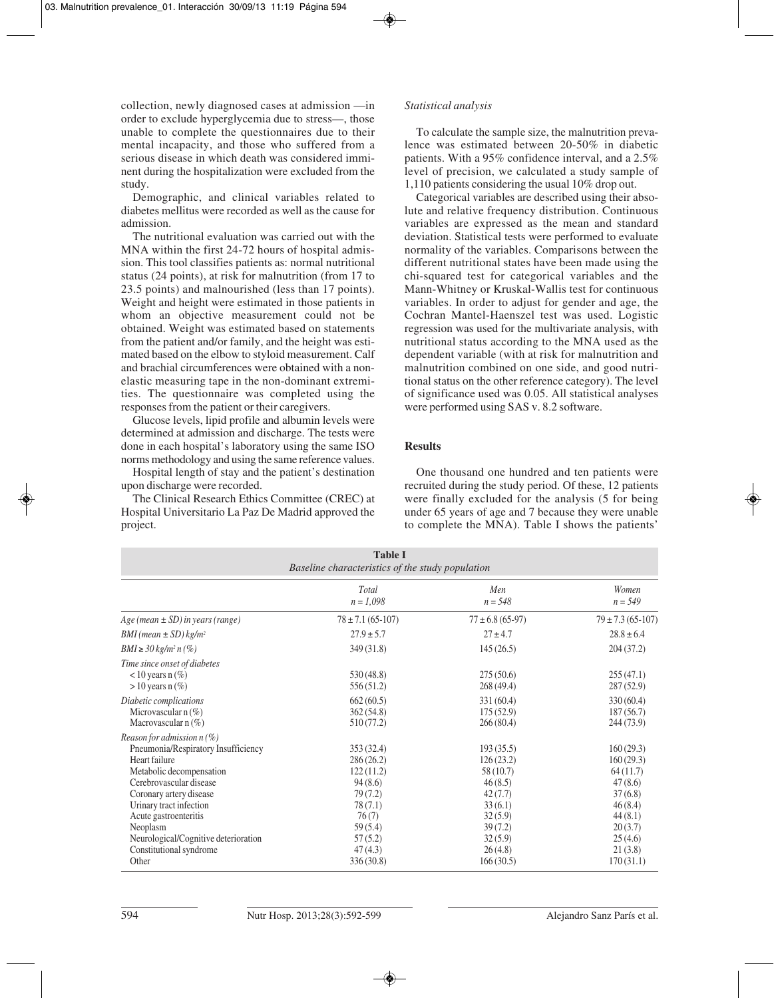collection, newly diagnosed cases at admission —in order to exclude hyperglycemia due to stress—, those unable to complete the questionnaires due to their mental incapacity, and those who suffered from a serious disease in which death was considered imminent during the hospitalization were excluded from the study.

Demographic, and clinical variables related to diabetes mellitus were recorded as well as the cause for admission.

The nutritional evaluation was carried out with the MNA within the first 24-72 hours of hospital admission. This tool classifies patients as: normal nutritional status (24 points), at risk for malnutrition (from 17 to 23.5 points) and malnourished (less than 17 points). Weight and height were estimated in those patients in whom an objective measurement could not be obtained. Weight was estimated based on statements from the patient and/or family, and the height was estimated based on the elbow to styloid measurement. Calf and brachial circumferences were obtained with a nonelastic measuring tape in the non-dominant extremities. The questionnaire was completed using the responses from the patient or their caregivers.

Glucose levels, lipid profile and albumin levels were determined at admission and discharge. The tests were done in each hospital's laboratory using the same ISO norms methodology and using the same reference values.

Hospital length of stay and the patient's destination upon discharge were recorded.

The Clinical Research Ethics Committee (CREC) at Hospital Universitario La Paz De Madrid approved the project.

# *Statistical analysis*

To calculate the sample size, the malnutrition prevalence was estimated between 20-50% in diabetic patients. With a 95% confidence interval, and a 2.5% level of precision, we calculated a study sample of 1,110 patients considering the usual 10% drop out.

Categorical variables are described using their absolute and relative frequency distribution. Continuous variables are expressed as the mean and standard deviation. Statistical tests were performed to evaluate normality of the variables. Comparisons between the different nutritional states have been made using the chi-squared test for categorical variables and the Mann-Whitney or Kruskal-Wallis test for continuous variables. In order to adjust for gender and age, the Cochran Mantel-Haenszel test was used. Logistic regression was used for the multivariate analysis, with nutritional status according to the MNA used as the dependent variable (with at risk for malnutrition and malnutrition combined on one side, and good nutritional status on the other reference category). The level of significance used was 0.05. All statistical analyses were performed using SAS v. 8.2 software.

## **Results**

One thousand one hundred and ten patients were recruited during the study period. Of these, 12 patients were finally excluded for the analysis (5 for being under 65 years of age and 7 because they were unable to complete the MNA). Table I shows the patients'

| <b>Table I</b><br>Baseline characteristics of the study population                                                                                                                                                                                                                                                 |                                                                                                                             |                                                                                                                               |                                                                                                                              |  |
|--------------------------------------------------------------------------------------------------------------------------------------------------------------------------------------------------------------------------------------------------------------------------------------------------------------------|-----------------------------------------------------------------------------------------------------------------------------|-------------------------------------------------------------------------------------------------------------------------------|------------------------------------------------------------------------------------------------------------------------------|--|
|                                                                                                                                                                                                                                                                                                                    | Total<br>$n = 1,098$                                                                                                        | Men<br>$n = 548$                                                                                                              | Women<br>$n = 549$                                                                                                           |  |
| $Age (mean \pm SD)$ in years (range)                                                                                                                                                                                                                                                                               | $78 \pm 7.1$ (65-107)                                                                                                       | $77 \pm 6.8$ (65-97)                                                                                                          | $79 \pm 7.3$ (65-107)                                                                                                        |  |
| BMI (mean $\pm$ SD) kg/m <sup>2</sup>                                                                                                                                                                                                                                                                              | $27.9 \pm 5.7$                                                                                                              | $27 \pm 4.7$                                                                                                                  | $28.8 \pm 6.4$                                                                                                               |  |
| <i>BMI</i> ≥ 30 kg/m <sup>2</sup> n (%)                                                                                                                                                                                                                                                                            | 349(31.8)                                                                                                                   | 145(26.5)                                                                                                                     | 204(37.2)                                                                                                                    |  |
| Time since onset of diabetes<br>$<$ 10 years n $(\%)$<br>$> 10$ years n $(\%)$                                                                                                                                                                                                                                     | 530(48.8)<br>556(51.2)                                                                                                      | 275(50.6)<br>268(49.4)                                                                                                        | 255(47.1)<br>287(52.9)                                                                                                       |  |
| Diabetic complications<br>Microvascular $n(\%)$<br>Macrovascular $n(\%)$                                                                                                                                                                                                                                           | 662(60.5)<br>362(54.8)<br>510 (77.2)                                                                                        | 331(60.4)<br>175(52.9)<br>266(80.4)                                                                                           | 330(60.4)<br>187(56.7)<br>244 (73.9)                                                                                         |  |
| Reason for admission $n(\%)$<br>Pneumonia/Respiratory Insufficiency<br>Heart failure<br>Metabolic decompensation<br>Cerebrovascular disease<br>Coronary artery disease<br>Urinary tract infection<br>Acute gastroenteritis<br>Neoplasm<br>Neurological/Cognitive deterioration<br>Constitutional syndrome<br>Other | 353(32.4)<br>286(26.2)<br>122(11.2)<br>94(8.6)<br>79(7.2)<br>78(7.1)<br>76(7)<br>59(5.4)<br>57(5.2)<br>47(4.3)<br>336(30.8) | 193(35.5)<br>126(23.2)<br>58 (10.7)<br>46(8.5)<br>42(7.7)<br>33(6.1)<br>32(5.9)<br>39(7.2)<br>32(5.9)<br>26(4.8)<br>166(30.5) | 160(29.3)<br>160(29.3)<br>64(11.7)<br>47(8.6)<br>37(6.8)<br>46(8.4)<br>44(8.1)<br>20(3.7)<br>25(4.6)<br>21(3.8)<br>170(31.1) |  |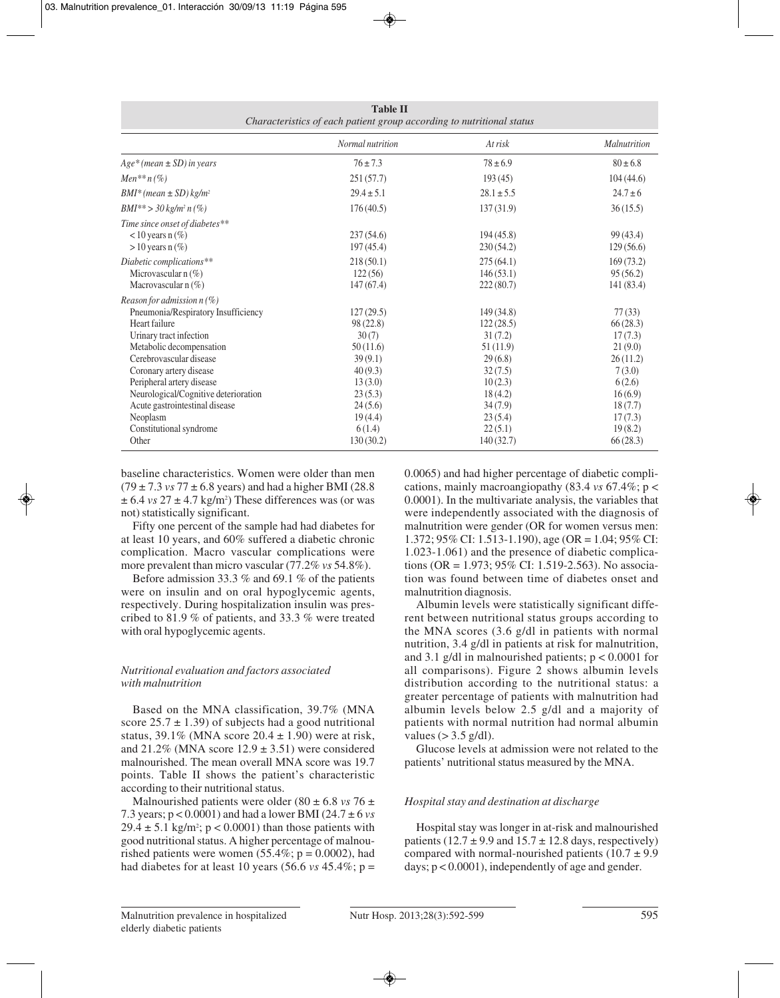| Characteristics of each patient group according to nutritional status |                  |                |              |
|-----------------------------------------------------------------------|------------------|----------------|--------------|
|                                                                       | Normal nutrition | At risk        | Malnutrition |
| $Age*(mean \pm SD)$ in years                                          | $76 \pm 7.3$     | $78 \pm 6.9$   | $80 \pm 6.8$ |
| <i>Men</i> <sup>**</sup> $n$ (%)                                      | 251(57.7)        | 193(45)        | 104(44.6)    |
| $BMI^*(mean \pm SD)$ kg/m <sup>2</sup>                                | $29.4 \pm 5.1$   | $28.1 \pm 5.5$ | $24.7 \pm 6$ |
| $BMI^{**} > 30 \text{ kg/m}^2 \text{ n } (\%)$                        | 176(40.5)        | 137(31.9)      | 36(15.5)     |
| Time since onset of diabetes**                                        |                  |                |              |
| $<$ 10 years n $(\%)$                                                 | 237(54.6)        | 194(45.8)      | 99 (43.4)    |
| $> 10$ years n $(\%)$                                                 | 197(45.4)        | 230(54.2)      | 129(56.6)    |
| Diabetic complications**                                              | 218(50.1)        | 275(64.1)      | 169(73.2)    |
| Microvascular $n(\%)$                                                 | 122(56)          | 146(53.1)      | 95(56.2)     |
| Macrovascular $n(\%)$                                                 | 147(67.4)        | 222(80.7)      | 141 (83.4)   |
| Reason for admission $n(\%)$                                          |                  |                |              |
| Pneumonia/Respiratory Insufficiency                                   | 127(29.5)        | 149(34.8)      | 77(33)       |
| Heart failure                                                         | 98 (22.8)        | 122(28.5)      | 66(28.3)     |
| Urinary tract infection                                               | 30(7)            | 31(7.2)        | 17(7.3)      |
| Metabolic decompensation                                              | 50(11.6)         | 51(11.9)       | 21(9.0)      |
| Cerebrovascular disease                                               | 39(9.1)          | 29(6.8)        | 26(11.2)     |
| Coronary artery disease                                               | 40(9.3)          | 32(7.5)        | 7(3.0)       |
| Peripheral artery disease                                             | 13(3.0)          | 10(2.3)        | 6(2.6)       |
| Neurological/Cognitive deterioration                                  | 23(5.3)          | 18(4.2)        | 16(6.9)      |
| Acute gastrointestinal disease                                        | 24(5.6)          | 34(7.9)        | 18(7.7)      |
| Neoplasm                                                              | 19(4.4)          | 23(5.4)        | 17(7.3)      |
| Constitutional syndrome                                               | 6(1.4)           | 22(5.1)        | 19(8.2)      |
| Other                                                                 | 130(30.2)        | 140(32.7)      | 66(28.3)     |

**Table II**

baseline characteristics. Women were older than men  $(79 \pm 7.3 \text{ vs } 77 \pm 6.8 \text{ years})$  and had a higher BMI (28.8)  $\pm$  6.4 *vs* 27  $\pm$  4.7 kg/m<sup>2</sup>) These differences was (or was not) statistically significant.

Fifty one percent of the sample had had diabetes for at least 10 years, and 60% suffered a diabetic chronic complication. Macro vascular complications were more prevalent than micro vascular (77.2% *vs* 54.8%).

Before admission 33.3 % and 69.1 % of the patients were on insulin and on oral hypoglycemic agents, respectively. During hospitalization insulin was prescribed to 81.9 % of patients, and 33.3 % were treated with oral hypoglycemic agents.

# *Nutritional evaluation and factors associated with malnutrition*

Based on the MNA classification, 39.7% (MNA score  $25.7 \pm 1.39$ ) of subjects had a good nutritional status, 39.1% (MNA score  $20.4 \pm 1.90$ ) were at risk, and  $21.2\%$  (MNA score  $12.9 \pm 3.51$ ) were considered malnourished. The mean overall MNA score was 19.7 points. Table II shows the patient's characteristic according to their nutritional status.

Malnourished patients were older (80  $\pm$  6.8 *vs* 76  $\pm$ 7.3 years; p < 0.0001) and had a lower BMI (24.7 ± 6 *vs*  $29.4 \pm 5.1$  kg/m<sup>2</sup>;  $p < 0.0001$ ) than those patients with good nutritional status. A higher percentage of malnourished patients were women  $(55.4\%; p = 0.0002)$ , had had diabetes for at least 10 years (56.6  $vs$  45.4%; p = 0.0065) and had higher percentage of diabetic complications, mainly macroangiopathy (83.4 *vs* 67.4%; p < 0.0001). In the multivariate analysis, the variables that were independently associated with the diagnosis of malnutrition were gender (OR for women versus men: 1.372; 95% CI: 1.513-1.190), age (OR = 1.04; 95% CI: 1.023-1.061) and the presence of diabetic complications (OR = 1.973; 95% CI: 1.519-2.563). No association was found between time of diabetes onset and malnutrition diagnosis.

Albumin levels were statistically significant different between nutritional status groups according to the MNA scores (3.6 g/dl in patients with normal nutrition, 3.4 g/dl in patients at risk for malnutrition, and 3.1 g/dl in malnourished patients;  $p < 0.0001$  for all comparisons). Figure 2 shows albumin levels distribution according to the nutritional status: a greater percentage of patients with malnutrition had albumin levels below 2.5 g/dl and a majority of patients with normal nutrition had normal albumin values  $(> 3.5 \text{ g/dl}).$ 

Glucose levels at admission were not related to the patients' nutritional status measured by the MNA.

# *Hospital stay and destination at discharge*

Hospital stay was longer in at-risk and malnourished patients  $(12.7 \pm 9.9 \text{ and } 15.7 \pm 12.8 \text{ days}, \text{respectively})$ compared with normal-nourished patients  $(10.7 \pm 9.9)$ days; p < 0.0001), independently of age and gender.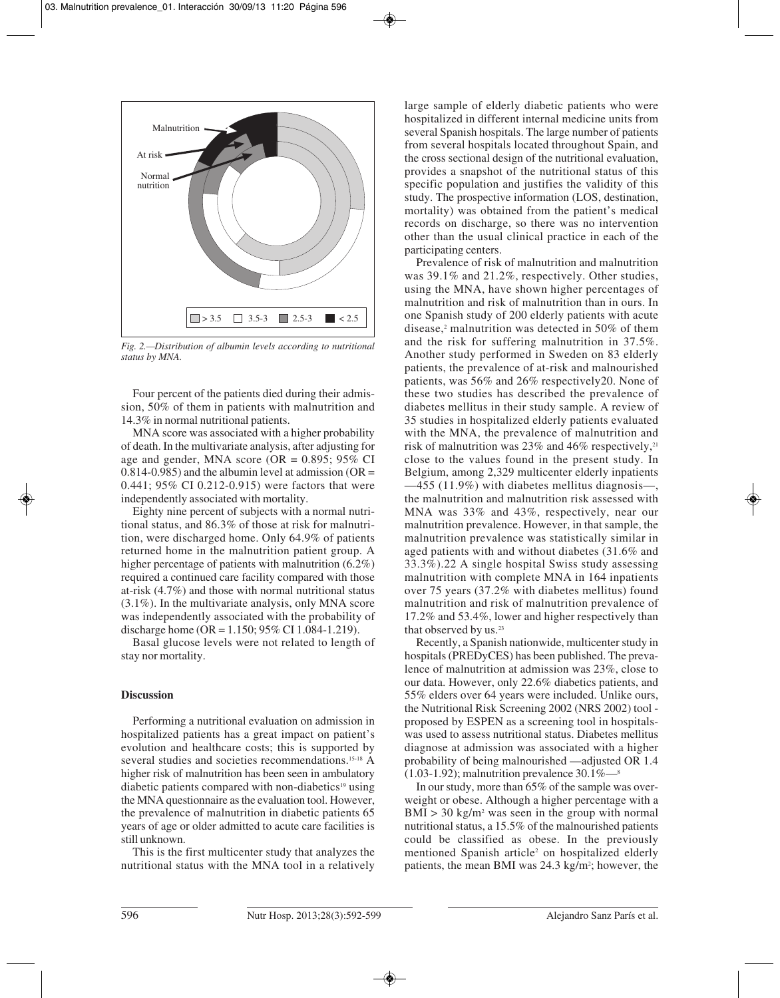

*Fig. 2.—Distribution of albumin levels according to nutritional status by MNA.*

Four percent of the patients died during their admission, 50% of them in patients with malnutrition and 14.3% in normal nutritional patients.

MNA score was associated with a higher probability of death. In the multivariate analysis, after adjusting for age and gender, MNA score (OR =  $0.895$ ; 95% CI  $0.814$ -0.985) and the albumin level at admission (OR = 0.441; 95% CI 0.212-0.915) were factors that were independently associated with mortality.

Eighty nine percent of subjects with a normal nutritional status, and 86.3% of those at risk for malnutrition, were discharged home. Only 64.9% of patients returned home in the malnutrition patient group. A higher percentage of patients with malnutrition (6.2%) required a continued care facility compared with those at-risk (4.7%) and those with normal nutritional status (3.1%). In the multivariate analysis, only MNA score was independently associated with the probability of discharge home (OR = 1.150; 95% CI 1.084-1.219).

Basal glucose levels were not related to length of stay nor mortality.

#### **Discussion**

Performing a nutritional evaluation on admission in hospitalized patients has a great impact on patient's evolution and healthcare costs; this is supported by several studies and societies recommendations.<sup>15-18</sup> A higher risk of malnutrition has been seen in ambulatory diabetic patients compared with non-diabetics<sup>19</sup> using the MNA questionnaire as the evaluation tool. However, the prevalence of malnutrition in diabetic patients 65 years of age or older admitted to acute care facilities is still unknown.

This is the first multicenter study that analyzes the nutritional status with the MNA tool in a relatively

large sample of elderly diabetic patients who were hospitalized in different internal medicine units from several Spanish hospitals. The large number of patients from several hospitals located throughout Spain, and the cross sectional design of the nutritional evaluation, provides a snapshot of the nutritional status of this specific population and justifies the validity of this study. The prospective information (LOS, destination, mortality) was obtained from the patient's medical records on discharge, so there was no intervention other than the usual clinical practice in each of the participating centers.

Prevalence of risk of malnutrition and malnutrition was 39.1% and 21.2%, respectively. Other studies, using the MNA, have shown higher percentages of malnutrition and risk of malnutrition than in ours. In one Spanish study of 200 elderly patients with acute disease,<sup>2</sup> malnutrition was detected in 50% of them and the risk for suffering malnutrition in 37.5%. Another study performed in Sweden on 83 elderly patients, the prevalence of at-risk and malnourished patients, was 56% and 26% respectively20. None of these two studies has described the prevalence of diabetes mellitus in their study sample. A review of 35 studies in hospitalized elderly patients evaluated with the MNA, the prevalence of malnutrition and risk of malnutrition was  $23\%$  and  $46\%$  respectively.<sup>21</sup> close to the values found in the present study. In Belgium, among 2,329 multicenter elderly inpatients —455 (11.9%) with diabetes mellitus diagnosis—, the malnutrition and malnutrition risk assessed with MNA was 33% and 43%, respectively, near our malnutrition prevalence. However, in that sample, the malnutrition prevalence was statistically similar in aged patients with and without diabetes (31.6% and 33.3%).22 A single hospital Swiss study assessing malnutrition with complete MNA in 164 inpatients over 75 years (37.2% with diabetes mellitus) found malnutrition and risk of malnutrition prevalence of 17.2% and 53.4%, lower and higher respectively than that observed by us.<sup>23</sup>

Recently, a Spanish nationwide, multicenter study in hospitals (PREDyCES) has been published. The prevalence of malnutrition at admission was 23%, close to our data. However, only 22.6% diabetics patients, and 55% elders over 64 years were included. Unlike ours, the Nutritional Risk Screening 2002 (NRS 2002) tool proposed by ESPEN as a screening tool in hospitalswas used to assess nutritional status. Diabetes mellitus diagnose at admission was associated with a higher probability of being malnourished —adjusted OR 1.4  $(1.03-1.92)$ ; malnutrition prevalence  $30.1\%$ —<sup>8</sup>

In our study, more than 65% of the sample was overweight or obese. Although a higher percentage with a  $BMI > 30$  kg/m<sup>2</sup> was seen in the group with normal nutritional status, a 15.5% of the malnourished patients could be classified as obese. In the previously mentioned Spanish article<sup>2</sup> on hospitalized elderly patients, the mean BMI was 24.3 kg/m<sup>2</sup>; however, the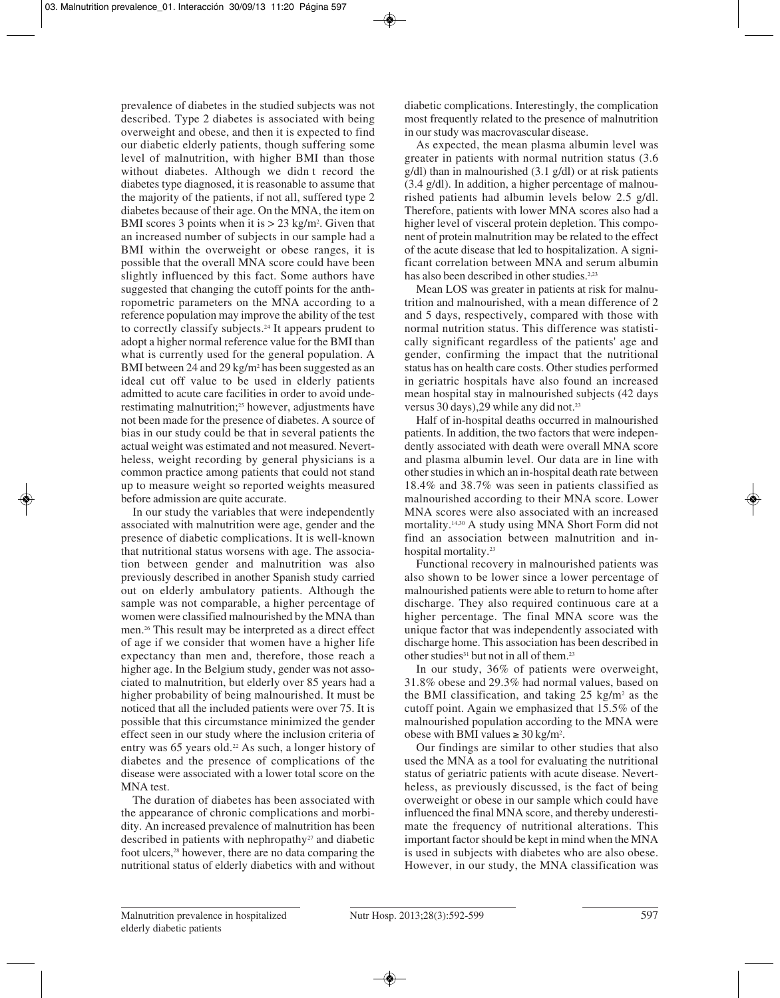prevalence of diabetes in the studied subjects was not described. Type 2 diabetes is associated with being overweight and obese, and then it is expected to find our diabetic elderly patients, though suffering some level of malnutrition, with higher BMI than those without diabetes. Although we didn t record the diabetes type diagnosed, it is reasonable to assume that the majority of the patients, if not all, suffered type 2 diabetes because of their age. On the MNA, the item on BMI scores 3 points when it is  $> 23$  kg/m<sup>2</sup>. Given that an increased number of subjects in our sample had a BMI within the overweight or obese ranges, it is possible that the overall MNA score could have been slightly influenced by this fact. Some authors have suggested that changing the cutoff points for the anthropometric parameters on the MNA according to a reference population may improve the ability of the test to correctly classify subjects.24 It appears prudent to adopt a higher normal reference value for the BMI than what is currently used for the general population. A BMI between 24 and 29 kg/m<sup>2</sup> has been suggested as an ideal cut off value to be used in elderly patients admitted to acute care facilities in order to avoid underestimating malnutrition;<sup>25</sup> however, adjustments have not been made for the presence of diabetes. A source of bias in our study could be that in several patients the actual weight was estimated and not measured. Nevertheless, weight recording by general physicians is a common practice among patients that could not stand up to measure weight so reported weights measured before admission are quite accurate.

In our study the variables that were independently associated with malnutrition were age, gender and the presence of diabetic complications. It is well-known that nutritional status worsens with age. The association between gender and malnutrition was also previously described in another Spanish study carried out on elderly ambulatory patients. Although the sample was not comparable, a higher percentage of women were classified malnourished by the MNA than men.26 This result may be interpreted as a direct effect of age if we consider that women have a higher life expectancy than men and, therefore, those reach a higher age. In the Belgium study, gender was not associated to malnutrition, but elderly over 85 years had a higher probability of being malnourished. It must be noticed that all the included patients were over 75. It is possible that this circumstance minimized the gender effect seen in our study where the inclusion criteria of entry was  $65$  years old.<sup>22</sup> As such, a longer history of diabetes and the presence of complications of the disease were associated with a lower total score on the MNA test.

The duration of diabetes has been associated with the appearance of chronic complications and morbidity. An increased prevalence of malnutrition has been described in patients with nephropathy<sup>27</sup> and diabetic foot ulcers,<sup>28</sup> however, there are no data comparing the nutritional status of elderly diabetics with and without diabetic complications. Interestingly, the complication most frequently related to the presence of malnutrition in our study was macrovascular disease.

As expected, the mean plasma albumin level was greater in patients with normal nutrition status (3.6 g/dl) than in malnourished (3.1 g/dl) or at risk patients (3.4 g/dl). In addition, a higher percentage of malnourished patients had albumin levels below 2.5 g/dl. Therefore, patients with lower MNA scores also had a higher level of visceral protein depletion. This component of protein malnutrition may be related to the effect of the acute disease that led to hospitalization. A significant correlation between MNA and serum albumin has also been described in other studies.<sup>2,23</sup>

Mean LOS was greater in patients at risk for malnutrition and malnourished, with a mean difference of 2 and 5 days, respectively, compared with those with normal nutrition status. This difference was statistically significant regardless of the patients' age and gender, confirming the impact that the nutritional status has on health care costs. Other studies performed in geriatric hospitals have also found an increased mean hospital stay in malnourished subjects (42 days versus 30 days), 29 while any did not.<sup>23</sup>

Half of in-hospital deaths occurred in malnourished patients. In addition, the two factors that were independently associated with death were overall MNA score and plasma albumin level. Our data are in line with other studies in which an in-hospital death rate between 18.4% and 38.7% was seen in patients classified as malnourished according to their MNA score. Lower MNA scores were also associated with an increased mortality.14,30 A study using MNA Short Form did not find an association between malnutrition and inhospital mortality.23

Functional recovery in malnourished patients was also shown to be lower since a lower percentage of malnourished patients were able to return to home after discharge. They also required continuous care at a higher percentage. The final MNA score was the unique factor that was independently associated with discharge home. This association has been described in other studies<sup>31</sup> but not in all of them.<sup>23</sup>

In our study, 36% of patients were overweight, 31.8% obese and 29.3% had normal values, based on the BMI classification, and taking  $25 \text{ kg/m}^2$  as the cutoff point. Again we emphasized that 15.5% of the malnourished population according to the MNA were obese with BMI values ≥ 30 kg/m<sup>2</sup>.

Our findings are similar to other studies that also used the MNA as a tool for evaluating the nutritional status of geriatric patients with acute disease. Nevertheless, as previously discussed, is the fact of being overweight or obese in our sample which could have influenced the final MNA score, and thereby underestimate the frequency of nutritional alterations. This important factor should be kept in mind when the MNA is used in subjects with diabetes who are also obese. However, in our study, the MNA classification was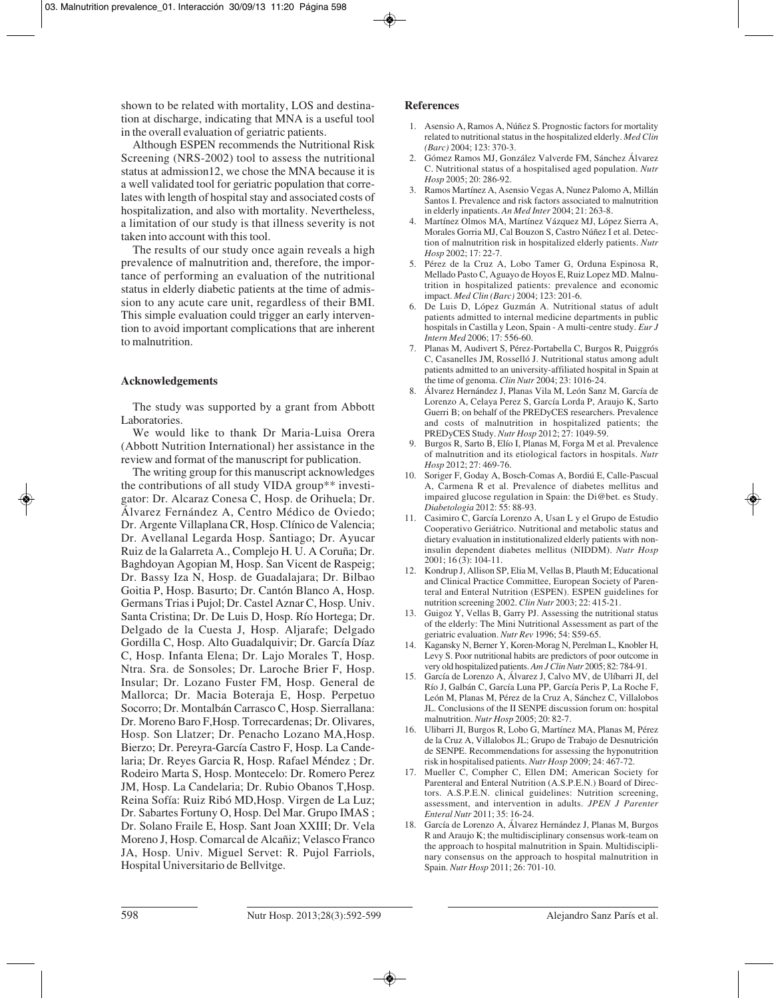shown to be related with mortality, LOS and destination at discharge, indicating that MNA is a useful tool in the overall evaluation of geriatric patients.

Although ESPEN recommends the Nutritional Risk Screening (NRS-2002) tool to assess the nutritional status at admission12, we chose the MNA because it is a well validated tool for geriatric population that correlates with length of hospital stay and associated costs of hospitalization, and also with mortality. Nevertheless, a limitation of our study is that illness severity is not taken into account with this tool.

The results of our study once again reveals a high prevalence of malnutrition and, therefore, the importance of performing an evaluation of the nutritional status in elderly diabetic patients at the time of admission to any acute care unit, regardless of their BMI. This simple evaluation could trigger an early intervention to avoid important complications that are inherent to malnutrition.

# **Acknowledgements**

The study was supported by a grant from Abbott Laboratories.

We would like to thank Dr Maria-Luisa Orera (Abbott Nutrition International) her assistance in the review and format of the manuscript for publication.

The writing group for this manuscript acknowledges the contributions of all study VIDA group\*\* investigator: Dr. Alcaraz Conesa C, Hosp. de Orihuela; Dr. Álvarez Fernández A, Centro Médico de Oviedo; Dr. Argente Villaplana CR, Hosp. Clínico de Valencia; Dr. Avellanal Legarda Hosp. Santiago; Dr. Ayucar Ruiz de la Galarreta A., Complejo H. U. A Coruña; Dr. Baghdoyan Agopian M, Hosp. San Vicent de Raspeig; Dr. Bassy Iza N, Hosp. de Guadalajara; Dr. Bilbao Goitia P, Hosp. Basurto; Dr. Cantón Blanco A, Hosp. Germans Trias i Pujol; Dr. Castel Aznar C, Hosp. Univ. Santa Cristina; Dr. De Luis D, Hosp. Río Hortega; Dr. Delgado de la Cuesta J, Hosp. Aljarafe; Delgado Gordilla C, Hosp. Alto Guadalquivir; Dr. García Díaz C, Hosp. Infanta Elena; Dr. Lajo Morales T, Hosp. Ntra. Sra. de Sonsoles; Dr. Laroche Brier F, Hosp. Insular; Dr. Lozano Fuster FM, Hosp. General de Mallorca; Dr. Macia Boteraja E, Hosp. Perpetuo Socorro; Dr. Montalbán Carrasco C, Hosp. Sierrallana: Dr. Moreno Baro F,Hosp. Torrecardenas; Dr. Olivares, Hosp. Son Llatzer; Dr. Penacho Lozano MA,Hosp. Bierzo; Dr. Pereyra-García Castro F, Hosp. La Candelaria; Dr. Reyes Garcia R, Hosp. Rafael Méndez ; Dr. Rodeiro Marta S, Hosp. Montecelo: Dr. Romero Perez JM, Hosp. La Candelaria; Dr. Rubio Obanos T,Hosp. Reina Sofía: Ruiz Ribó MD,Hosp. Virgen de La Luz; Dr. Sabartes Fortuny O, Hosp. Del Mar. Grupo IMAS ; Dr. Solano Fraile E, Hosp. Sant Joan XXIII; Dr. Vela Moreno J, Hosp. Comarcal de Alcañiz; Velasco Franco JA, Hosp. Univ. Miguel Servet: R. Pujol Farriols, Hospital Universitario de Bellvitge.

#### **References**

- 1. Asensio A, Ramos A, Núñez S. Prognostic factors for mortality related to nutritional status in the hospitalized elderly. *Med Clin (Barc)* 2004; 123: 370-3.
- 2. Gómez Ramos MJ, González Valverde FM, Sánchez Álvarez C. Nutritional status of a hospitalised aged population. *Nutr Hosp* 2005; 20: 286-92.
- 3. Ramos Martínez A, Asensio Vegas A, Nunez Palomo A, Millán Santos I. Prevalence and risk factors associated to malnutrition in elderly inpatients. *An Med Inter* 2004; 21: 263-8.
- 4. Martínez Olmos MA, Martínez Vázquez MJ, López Sierra A, Morales Gorria MJ, Cal Bouzon S, Castro Núñez I et al. Detection of malnutrition risk in hospitalized elderly patients. *Nutr Hosp* 2002; 17: 22-7.
- 5. Pérez de la Cruz A, Lobo Tamer G, Orduna Espinosa R, Mellado Pasto C, Aguayo de Hoyos E, Ruiz Lopez MD. Malnutrition in hospitalized patients: prevalence and economic impact. *Med Clin (Barc)* 2004; 123: 201-6.
- 6. De Luis D, López Guzmán A. Nutritional status of adult patients admitted to internal medicine departments in public hospitals in Castilla y Leon, Spain - A multi-centre study. *Eur J Intern Med* 2006; 17: 556-60.
- 7. Planas M, Audivert S, Pérez-Portabella C, Burgos R, Puiggrós C, Casanelles JM, Rosselló J. Nutritional status among adult patients admitted to an university-affiliated hospital in Spain at the time of genoma. *Clin Nutr* 2004; 23: 1016-24.
- 8. Álvarez Hernández J, Planas Vila M, León Sanz M, García de Lorenzo A, Celaya Perez S, García Lorda P, Araujo K, Sarto Guerri B; on behalf of the PREDyCES researchers. Prevalence and costs of malnutrition in hospitalized patients; the PREDyCES Study. *Nutr Hosp* 2012; 27: 1049-59.
- 9. Burgos R, Sarto B, Elío I, Planas M, Forga M et al. Prevalence of malnutrition and its etiological factors in hospitals. *Nutr Hosp* 2012; 27: 469-76.
- 10. Soriger F, Goday A, Bosch-Comas A, Bordiú E, Calle-Pascual A, Carmena R et al. Prevalence of diabetes mellitus and impaired glucose regulation in Spain: the Di@bet. es Study. *Diabetologia* 2012: 55: 88-93.
- 11. Casimiro C, García Lorenzo A, Usan L y el Grupo de Estudio Cooperativo Geriátrico. Nutritional and metabolic status and dietary evaluation in institutionalized elderly patients with noninsulin dependent diabetes mellitus (NIDDM). *Nutr Hosp* 2001; 16 (3): 104-11.
- 12. Kondrup J, Allison SP, Elia M, Vellas B, Plauth M; Educational and Clinical Practice Committee, European Society of Parenteral and Enteral Nutrition (ESPEN). ESPEN guidelines for nutrition screening 2002. *Clin Nutr* 2003; 22: 415-21.
- 13. Guigoz Y, Vellas B, Garry PJ. Assessing the nutritional status of the elderly: The Mini Nutritional Assessment as part of the geriatric evaluation. *Nutr Rev* 1996; 54: S59-65.
- 14. Kagansky N, Berner Y, Koren-Morag N, Perelman L, Knobler H, Levy S. Poor nutritional habits are predictors of poor outcome in very old hospitalized patients. *Am J Clin Nutr* 2005; 82: 784-91.
- 15. García de Lorenzo A, Álvarez J, Calvo MV, de Ulíbarri JI, del Río J, Galbán C, García Luna PP, García Peris P, La Roche F, León M, Planas M, Pérez de la Cruz A, Sánchez C, Villalobos JL. Conclusions of the II SENPE discussion forum on: hospital malnutrition. *Nutr Hosp* 2005; 20: 82-7.
- 16. Ulibarri JI, Burgos R, Lobo G, Martínez MA, Planas M, Pérez de la Cruz A, Villalobos JL; Grupo de Trabajo de Desnutrición de SENPE. Recommendations for assessing the hyponutrition risk in hospitalised patients. *Nutr Hosp* 2009; 24: 467-72.
- 17. Mueller C, Compher C, Ellen DM; American Society for Parenteral and Enteral Nutrition (A.S.P.E.N.) Board of Directors. A.S.P.E.N. clinical guidelines: Nutrition screening, assessment, and intervention in adults. *JPEN J Parenter Enteral Nutr* 2011; 35: 16-24.
- 18. García de Lorenzo A, Álvarez Hernández J, Planas M, Burgos R and Araujo K; the multidisciplinary consensus work-team on the approach to hospital malnutrition in Spain. Multidisciplinary consensus on the approach to hospital malnutrition in Spain. *Nutr Hosp* 2011; 26: 701-10.